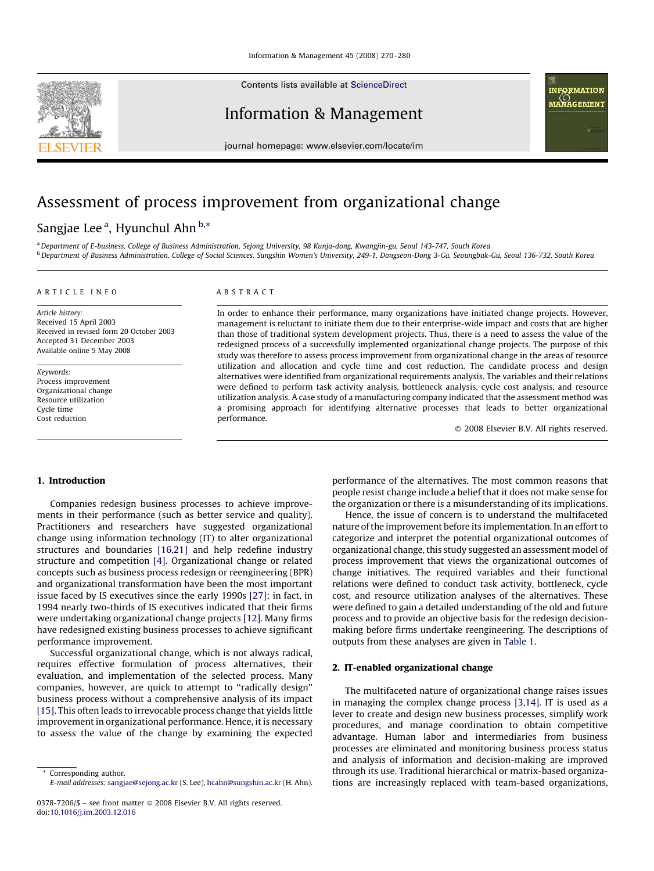Contents lists available at [ScienceDirect](http://www.sciencedirect.com/science/journal/03787206)

Information & Management

journal homepage: www.elsevier.com/locate/im

# Assessment of process improvement from organizational change

## Sangjae Lee<sup>a</sup>, Hyunchul Ahn <sup>b,\*</sup>

a Department of E-business, College of Business Administration, Sejong University, 98 Kunja-dong, Kwangjin-gu, Seoul 143-747, South Korea <sup>b</sup> Department of Business Administration, College of Social Sciences, Sungshin Women's University, 249-1, Dongseon-Dong 3-Ga, Seoungbuk-Gu, Seoul 136-732, South Korea

#### ARTICLE INFO

Article history: Received 15 April 2003 Received in revised form 20 October 2003 Accepted 31 December 2003 Available online 5 May 2008

Keywords: Process improvement Organizational change Resource utilization Cycle time Cost reduction

### ABSTRACT

In order to enhance their performance, many organizations have initiated change projects. However, management is reluctant to initiate them due to their enterprise-wide impact and costs that are higher than those of traditional system development projects. Thus, there is a need to assess the value of the redesigned process of a successfully implemented organizational change projects. The purpose of this study was therefore to assess process improvement from organizational change in the areas of resource utilization and allocation and cycle time and cost reduction. The candidate process and design alternatives were identified from organizational requirements analysis. The variables and their relations were defined to perform task activity analysis, bottleneck analysis, cycle cost analysis, and resource utilization analysis. A case study of a manufacturing company indicated that the assessment method was a promising approach for identifying alternative processes that leads to better organizational performance.

- 2008 Elsevier B.V. All rights reserved.

**INFORMATION** MANAGEMENT

#### 1. Introduction

Companies redesign business processes to achieve improvements in their performance (such as better service and quality). Practitioners and researchers have suggested organizational change using information technology (IT) to alter organizational structures and boundaries [\[16,21\]](#page--1-0) and help redefine industry structure and competition [\[4\].](#page--1-0) Organizational change or related concepts such as business process redesign or reengineering (BPR) and organizational transformation have been the most important issue faced by IS executives since the early 1990s [\[27\];](#page--1-0) in fact, in 1994 nearly two-thirds of IS executives indicated that their firms were undertaking organizational change projects [\[12\]](#page--1-0). Many firms have redesigned existing business processes to achieve significant performance improvement.

Successful organizational change, which is not always radical, requires effective formulation of process alternatives, their evaluation, and implementation of the selected process. Many companies, however, are quick to attempt to ''radically design'' business process without a comprehensive analysis of its impact [\[15\]](#page--1-0). This often leads to irrevocable process change that yields little improvement in organizational performance. Hence, it is necessary to assess the value of the change by examining the expected performance of the alternatives. The most common reasons that people resist change include a belief that it does not make sense for the organization or there is a misunderstanding of its implications.

Hence, the issue of concern is to understand the multifaceted nature of the improvement before its implementation. In an effort to categorize and interpret the potential organizational outcomes of organizational change, this study suggested an assessment model of process improvement that views the organizational outcomes of change initiatives. The required variables and their functional relations were defined to conduct task activity, bottleneck, cycle cost, and resource utilization analyses of the alternatives. These were defined to gain a detailed understanding of the old and future process and to provide an objective basis for the redesign decisionmaking before firms undertake reengineering. The descriptions of outputs from these analyses are given in [Table 1.](#page-1-0)

#### 2. IT-enabled organizational change

The multifaceted nature of organizational change raises issues in managing the complex change process [\[3,14\]](#page--1-0). IT is used as a lever to create and design new business processes, simplify work procedures, and manage coordination to obtain competitive advantage. Human labor and intermediaries from business processes are eliminated and monitoring business process status and analysis of information and decision-making are improved through its use. Traditional hierarchical or matrix-based organizations are increasingly replaced with team-based organizations,



Corresponding author. E-mail addresses: [sangjae@sejong.ac.kr](mailto:sangjae@sejong.ac.kr) (S. Lee), [hcahn@sungshin.ac.kr](mailto:hcahn@sungshin.ac.kr) (H. Ahn).

<sup>0378-7206/\$ -</sup> see front matter © 2008 Elsevier B.V. All rights reserved. doi:[10.1016/j.im.2003.12.016](http://dx.doi.org/10.1016/j.im.2003.12.016)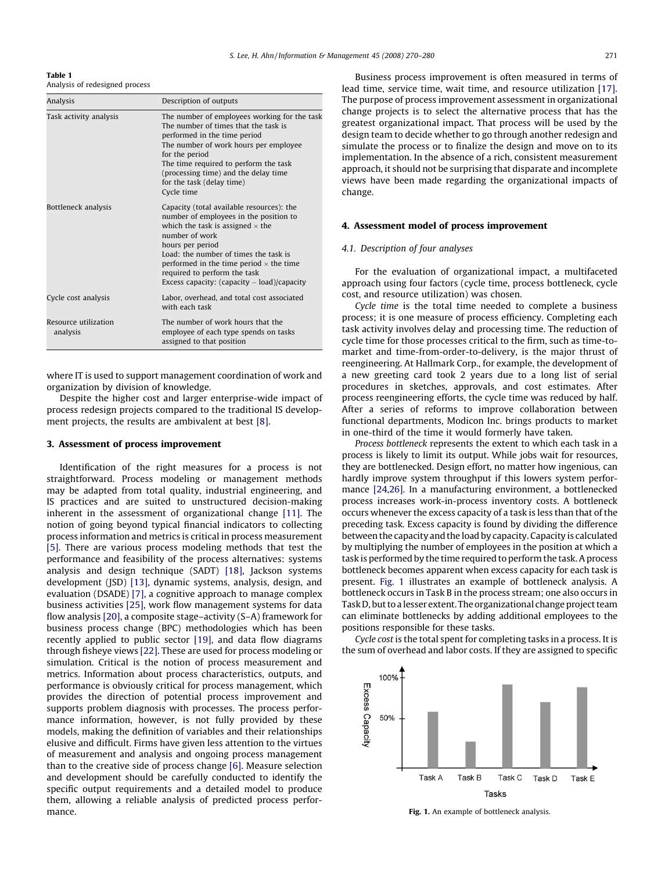<span id="page-1-0"></span>Table 1 Analysis of redesigned process

| Analysis                         | Description of outputs                                                                                                                                                                                                                                                                                                                           |
|----------------------------------|--------------------------------------------------------------------------------------------------------------------------------------------------------------------------------------------------------------------------------------------------------------------------------------------------------------------------------------------------|
| Task activity analysis           | The number of employees working for the task<br>The number of times that the task is<br>performed in the time period<br>The number of work hours per employee<br>for the period<br>The time required to perform the task<br>(processing time) and the delay time<br>for the task (delay time)<br>Cycle time                                      |
| Bottleneck analysis              | Capacity (total available resources): the<br>number of employees in the position to<br>which the task is assigned $\times$ the<br>number of work<br>hours per period<br>Load: the number of times the task is<br>performed in the time period $\times$ the time<br>required to perform the task<br>Excess capacity: (capacity $-$ load)/capacity |
| Cycle cost analysis              | Labor, overhead, and total cost associated<br>with each task                                                                                                                                                                                                                                                                                     |
| Resource utilization<br>analysis | The number of work hours that the<br>employee of each type spends on tasks<br>assigned to that position                                                                                                                                                                                                                                          |

where IT is used to support management coordination of work and organization by division of knowledge.

Despite the higher cost and larger enterprise-wide impact of process redesign projects compared to the traditional IS development projects, the results are ambivalent at best [\[8\]](#page--1-0).

#### 3. Assessment of process improvement

Identification of the right measures for a process is not straightforward. Process modeling or management methods may be adapted from total quality, industrial engineering, and IS practices and are suited to unstructured decision-making inherent in the assessment of organizational change [\[11\]](#page--1-0). The notion of going beyond typical financial indicators to collecting process information and metrics is critical in process measurement [\[5\]](#page--1-0). There are various process modeling methods that test the performance and feasibility of the process alternatives: systems analysis and design technique (SADT) [\[18\],](#page--1-0) Jackson systems development (JSD) [\[13\],](#page--1-0) dynamic systems, analysis, design, and evaluation (DSADE) [\[7\]](#page--1-0), a cognitive approach to manage complex business activities [\[25\],](#page--1-0) work flow management systems for data flow analysis [\[20\]](#page--1-0), a composite stage–activity (S–A) framework for business process change (BPC) methodologies which has been recently applied to public sector [\[19\],](#page--1-0) and data flow diagrams through fisheye views [\[22\]](#page--1-0). These are used for process modeling or simulation. Critical is the notion of process measurement and metrics. Information about process characteristics, outputs, and performance is obviously critical for process management, which provides the direction of potential process improvement and supports problem diagnosis with processes. The process performance information, however, is not fully provided by these models, making the definition of variables and their relationships elusive and difficult. Firms have given less attention to the virtues of measurement and analysis and ongoing process management than to the creative side of process change [\[6\].](#page--1-0) Measure selection and development should be carefully conducted to identify the specific output requirements and a detailed model to produce them, allowing a reliable analysis of predicted process performance.

Business process improvement is often measured in terms of lead time, service time, wait time, and resource utilization [\[17\].](#page--1-0) The purpose of process improvement assessment in organizational change projects is to select the alternative process that has the greatest organizational impact. That process will be used by the design team to decide whether to go through another redesign and simulate the process or to finalize the design and move on to its implementation. In the absence of a rich, consistent measurement approach, it should not be surprising that disparate and incomplete views have been made regarding the organizational impacts of change.

#### 4. Assessment model of process improvement

### 4.1. Description of four analyses

For the evaluation of organizational impact, a multifaceted approach using four factors (cycle time, process bottleneck, cycle cost, and resource utilization) was chosen.

Cycle time is the total time needed to complete a business process; it is one measure of process efficiency. Completing each task activity involves delay and processing time. The reduction of cycle time for those processes critical to the firm, such as time-tomarket and time-from-order-to-delivery, is the major thrust of reengineering. At Hallmark Corp., for example, the development of a new greeting card took 2 years due to a long list of serial procedures in sketches, approvals, and cost estimates. After process reengineering efforts, the cycle time was reduced by half. After a series of reforms to improve collaboration between functional departments, Modicon Inc. brings products to market in one-third of the time it would formerly have taken.

Process bottleneck represents the extent to which each task in a process is likely to limit its output. While jobs wait for resources, they are bottlenecked. Design effort, no matter how ingenious, can hardly improve system throughput if this lowers system performance [\[24,26\]](#page--1-0). In a manufacturing environment, a bottlenecked process increases work-in-process inventory costs. A bottleneck occurs whenever the excess capacity of a task is less than that of the preceding task. Excess capacity is found by dividing the difference between the capacity and the load by capacity. Capacity is calculated by multiplying the number of employees in the position at which a task is performed by the time required to perform the task. A process bottleneck becomes apparent when excess capacity for each task is present. Fig. 1 illustrates an example of bottleneck analysis. A bottleneck occurs in Task B in the process stream; one also occurs in Task D, but to a lesser extent. The organizational change project team can eliminate bottlenecks by adding additional employees to the positions responsible for these tasks.

Cycle cost is the total spent for completing tasks in a process. It is the sum of overhead and labor costs. If they are assigned to specific



Fig. 1. An example of bottleneck analysis.